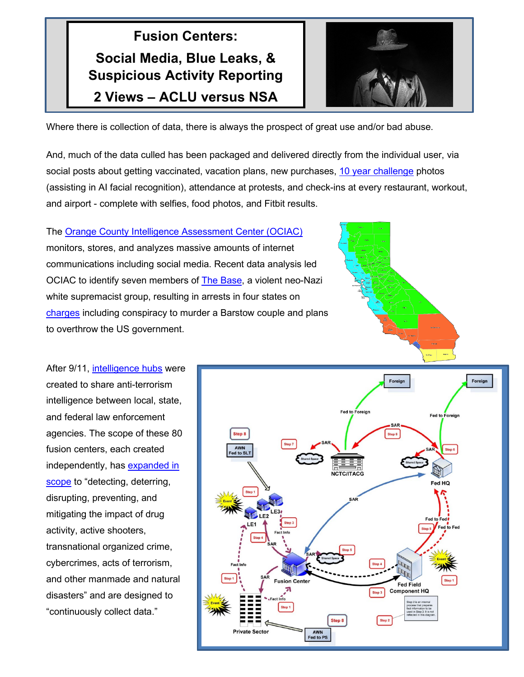## **Fusion Centers: Social Media, Blue Leaks, & Suspicious Activity Reporting 2 Views – ACLU versus NSA**



Where there is collection of data, there is always the prospect of great use and/or bad abuse.

And, much of the data culled has been packaged and delivered directly from the individual user, via social posts about getting vaccinated, vacation plans, new purchases, [10 year challenge](https://www.wired.com/story/facebook-10-year-meme-challenge/) photos (assisting in AI facial recognition), attendance at protests, and check-ins at every restaurant, workout, and airport - complete with selfies, food photos, and Fitbit results.

The [Orange County Intelligence Assessment Center](https://cms.ocgov.com/gov/sheriff/divisions/fieldops/investigations/iac/ociac.asp) (OCIAC) monitors, stores, and analyzes massive amounts of internet communications including social media. Recent data analysis led OCIAC to identify seven members of [The Base,](https://en.wikipedia.org/wiki/The_Base_(hate_group)) a violent neo-Nazi white supremacist group, resulting in arrests in four states on [charges](https://www.cbsnews.com/news/the-base-three-more-suspected-members-of-white-supremacist-group-arrested-2020-01-17/) including conspiracy to murder a Barstow couple and plans to overthrow the US government.



After 9/11, [intelligence hubs](https://nsa.gov1.info/partners/index.html) were created to share anti-terrorism intelligence between local, state, and federal law enforcement agencies. The scope of these 80 fusion centers, each created independently, has [expanded in](https://statetechmagazine.com/article/2021/03/3-ways-improve-fusion-center-intelligence-local-agencies)  [scope](https://statetechmagazine.com/article/2021/03/3-ways-improve-fusion-center-intelligence-local-agencies) to "detecting, deterring, disrupting, preventing, and mitigating the impact of drug activity, active shooters, transnational organized crime, cybercrimes, acts of terrorism, and other manmade and natural disasters" and are designed to "continuously collect data."

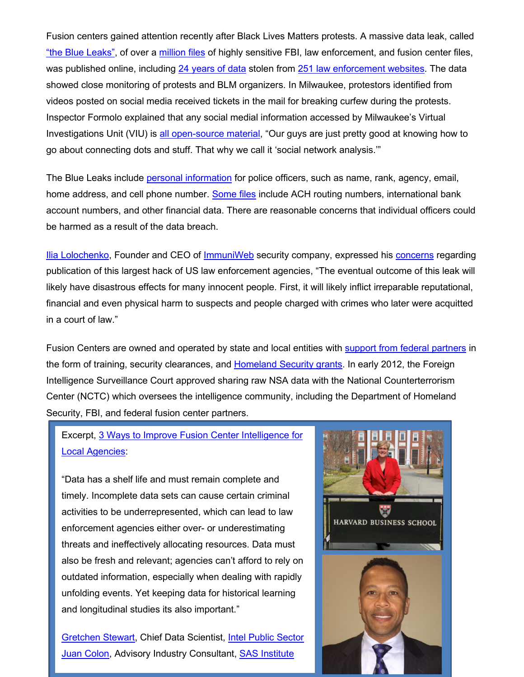Fusion centers gained attention recently after Black Lives Matters protests. A massive data leak, called ["the Blue Leaks",](https://en.wikipedia.org/wiki/BlueLeaks) of over a [million files](http://www.digitaljournal.com/tech-and-science/technology/looking-deep-into-the-blue-leaks-data-leak-revelation/article/573654) of highly sensitive FBI, law enforcement, and fusion center files, was published online, including [24 years of data](https://www.fiber.net/blog/blue-leaks-the-largest-published-hack-of-american-law-enforcement-agencies/) stolen from [251 law enforcement websites.](https://theintercept.com/2020/07/15/blueleaks-anonymous-ddos-law-enforcement-hack/) The data showed close monitoring of protests and BLM organizers. In Milwaukee, protestors identified from videos posted on social media received tickets in the mail for breaking curfew during the protests. Inspector Formolo explained that any social medial information accessed by Milwaukee's Virtual Investigations Unit (VIU) is [all open-source material,](https://wisconsinexaminer.com/2021/03/30/a-look-at-milwaukee-pds-fusion-center/) "Our guys are just pretty good at knowing how to go about connecting dots and stuff. That why we call it 'social network analysis.'"

The Blue Leaks include [personal information](https://securityboulevard.com/2020/12/blueleaks-is-huge-fail-for-anonymous-and-ddosecrets/) for police officers, such as name, rank, agency, email, home address, and cell phone number. [Some files](https://www.police1.com/cyber-security/articles/blueleaks-exposes-files-from-hundreds-of-us-police-departments-MEWaeGX1nNiibs7Z/) include ACH routing numbers, international bank account numbers, and other financial data. There are reasonable concerns that individual officers could be harmed as a result of the data breach.

[Ilia Lolochenko,](https://www.linkedin.com/in/kolochenko/?originalSubdomain=ch) Founder and CEO of [ImmuniWeb](https://www.immuniweb.com/) security company, expressed his [concerns](https://techmonitor.ai/techonology/cybersecurity/blue-leaks-data-dump) regarding publication of this largest hack of US law enforcement agencies, "The eventual outcome of this leak will likely have disastrous effects for many innocent people. First, it will likely inflict irreparable reputational, financial and even physical harm to suspects and people charged with crimes who later were acquitted in a court of law."

Fusion Centers are owned and operated by state and local entities with **support from federal partners** in the form of training, security clearances, and [Homeland Security grants.](https://www.dhs.gov/homeland-security-grant-program-hsgp) In early 2012, the Foreign Intelligence Surveillance Court approved sharing raw NSA data with the National Counterterrorism Center (NCTC) which oversees the intelligence community, including the Department of Homeland Security, FBI, and federal fusion center partners.

## Excerpt, [3 Ways to Improve Fusion Center Intelligence for](https://statetechmagazine.com/article/2021/03/3-ways-improve-fusion-center-intelligence-local-agencies)  [Local Agencies:](https://statetechmagazine.com/article/2021/03/3-ways-improve-fusion-center-intelligence-local-agencies)

"Data has a shelf life and must remain complete and timely. Incomplete data sets can cause certain criminal activities to be underrepresented, which can lead to law enforcement agencies either over- or underestimating threats and ineffectively allocating resources. Data must also be fresh and relevant; agencies can't afford to rely on outdated information, especially when dealing with rapidly unfolding events. Yet keeping data for historical learning and longitudinal studies its also important."

[Gretchen Stewart,](https://www.linkedin.com/in/gretchen-stewart-she-her-5a33b31/) Chief Data Scientist, [Intel Public Sector](https://www.intel.com/content/www/us/en/government/public-sector-solutions-overview.html) [Juan Colon,](https://www.linkedin.com/in/juanacolon/) Advisory Industry Consultant, [SAS Institute](https://www.sas.com/en_us/home.html)

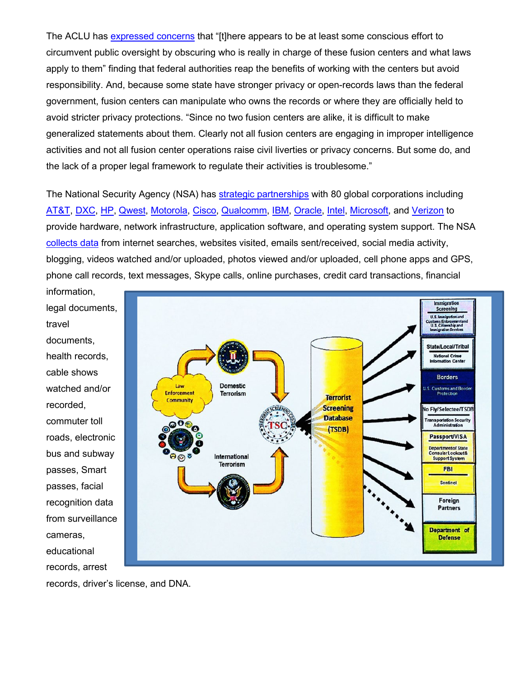The ACLU has [expressed concerns](https://www.aclu.org/report/whats-wrong-fusion-centers-executive-summary) that "[t]here appears to be at least some conscious effort to circumvent public oversight by obscuring who is really in charge of these fusion centers and what laws apply to them" finding that federal authorities reap the benefits of working with the centers but avoid responsibility. And, because some state have stronger privacy or open-records laws than the federal government, fusion centers can manipulate who owns the records or where they are officially held to avoid stricter privacy protections. "Since no two fusion centers are alike, it is difficult to make generalized statements about them. Clearly not all fusion centers are engaging in improper intelligence activities and not all fusion center operations raise civil liverties or privacy concerns. But some do, and the lack of a proper legal framework to regulate their activities is troublesome."

The National Security Agency (NSA) has [strategic partnerships](https://nsa.gov1.info/partners/index.html) with 80 global corporations including [AT&T,](https://www.att.com/) [DXC,](https://www.dxc.technology/) [HP,](http://welcome.hp.com/country/fg/fe/welcome.html) [Qwest,](https://en.wikipedia.org/wiki/Qwest_Corporation) [Motorola,](https://www.motorola.com/us/) [Cisco,](https://www.cisco.com/) [Qualcomm,](https://www.qualcomm.com/) [IBM,](https://www.ibm.com/us-en/) [Oracle,](https://www.oracle.com/index.html) [Intel,](https://www.intel.com/content/www/us/en/homepage.html) [Microsoft,](https://www.microsoft.com/en-us/?spl=1) and [Verizon](https://www.verizon.com/) to provide hardware, network infrastructure, application software, and operating system support. The NSA [collects data](https://nsa.gov1.info/data/) from internet searches, websites visited, emails sent/received, social media activity, blogging, videos watched and/or uploaded, photos viewed and/or uploaded, cell phone apps and GPS, phone call records, text messages, Skype calls, online purchases, credit card transactions, financial

information, legal documents, travel documents, health records, cable shows watched and/or recorded, commuter toll roads, electronic bus and subway passes, Smart passes, facial recognition data from surveillance cameras, educational records, arrest



records, driver's license, and DNA.